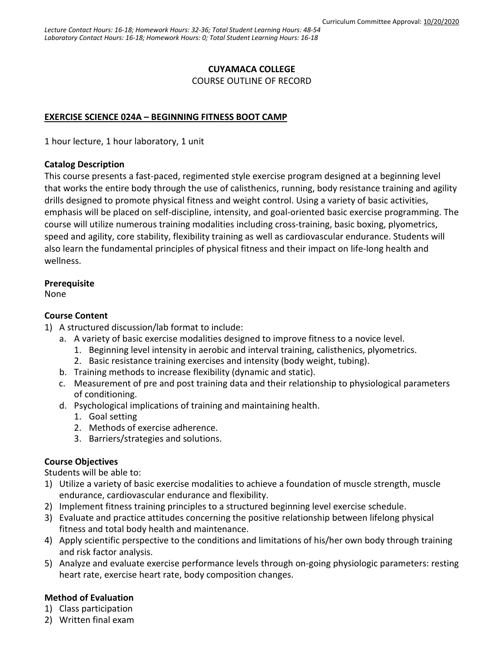# **CUYAMACA COLLEGE**

COURSE OUTLINE OF RECORD

# **EXERCISE SCIENCE 024A – BEGINNING FITNESS BOOT CAMP**

1 hour lecture, 1 hour laboratory, 1 unit

# **Catalog Description**

This course presents a fast-paced, regimented style exercise program designed at a beginning level that works the entire body through the use of calisthenics, running, body resistance training and agility drills designed to promote physical fitness and weight control. Using a variety of basic activities, emphasis will be placed on self-discipline, intensity, and goal-oriented basic exercise programming. The course will utilize numerous training modalities including cross-training, basic boxing, plyometrics, speed and agility, core stability, flexibility training as well as cardiovascular endurance. Students will also learn the fundamental principles of physical fitness and their impact on life-long health and wellness.

# **Prerequisite**

None

# **Course Content**

- 1) A structured discussion/lab format to include:
	- a. A variety of basic exercise modalities designed to improve fitness to a novice level.
		- 1. Beginning level intensity in aerobic and interval training, calisthenics, plyometrics.
		- 2. Basic resistance training exercises and intensity (body weight, tubing).
	- b. Training methods to increase flexibility (dynamic and static).
	- c. Measurement of pre and post training data and their relationship to physiological parameters of conditioning.
	- d. Psychological implications of training and maintaining health.
		- 1. Goal setting
		- 2. Methods of exercise adherence.
		- 3. Barriers/strategies and solutions.

# **Course Objectives**

Students will be able to:

- 1) Utilize a variety of basic exercise modalities to achieve a foundation of muscle strength, muscle endurance, cardiovascular endurance and flexibility.
- 2) Implement fitness training principles to a structured beginning level exercise schedule.
- 3) Evaluate and practice attitudes concerning the positive relationship between lifelong physical fitness and total body health and maintenance.
- 4) Apply scientific perspective to the conditions and limitations of his/her own body through training and risk factor analysis.
- 5) Analyze and evaluate exercise performance levels through on-going physiologic parameters: resting heart rate, exercise heart rate, body composition changes.

# **Method of Evaluation**

- 1) Class participation
- 2) Written final exam